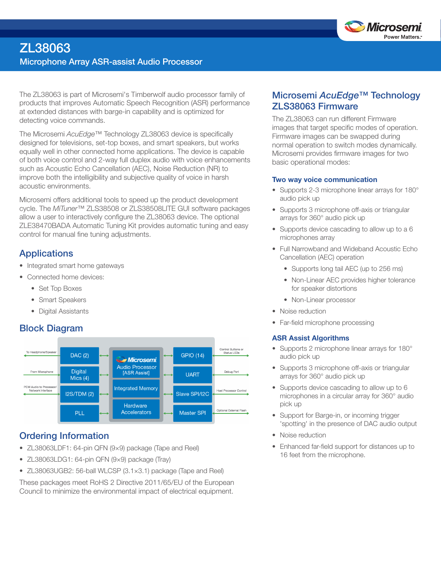

The ZL38063 is part of Microsemi's Timberwolf audio processor family of products that improves Automatic Speech Recognition (ASR) performance at extended distances with barge-in capability and is optimized for detecting voice commands.

The Microsemi *AcuEdge™* Technology ZL38063 device is specifically designed for televisions, set-top boxes, and smart speakers, but works equally well in other connected home applications. The device is capable of both voice control and 2-way full duplex audio with voice enhancements such as Acoustic Echo Cancellation (AEC), Noise Reduction (NR) to improve both the intelligibility and subjective quality of voice in harsh acoustic environments.

Microsemi offers additional tools to speed up the product development cycle. The *MiTuner*™ ZLS38508 or ZLS38508LITE GUI software packages allow a user to interactively configure the ZL38063 device. The optional ZLE38470BADA Automatic Tuning Kit provides automatic tuning and easy control for manual fine tuning adjustments.

## **Applications**

- Integrated smart home gateways
- Connected home devices:
	- Set Top Boxes
	- Smart Speakers
	- Digital Assistants

## Block Diagram



## Ordering Information

- ZL38063LDF1: 64-pin QFN (9×9) package (Tape and Reel)
- ZL38063LDG1: 64-pin QFN (9×9) package (Tray)
- ZL38063UGB2: 56-ball WLCSP (3.1×3.1) package (Tape and Reel)

These packages meet RoHS 2 Directive 2011/65/EU of the European Council to minimize the environmental impact of electrical equipment.

## Microsemi *AcuEdge™* Technology ZLS38063 Firmware

The ZL38063 can run different Firmware images that target specific modes of operation. Firmware images can be swapped during normal operation to switch modes dynamically. Microsemi provides firmware images for two basic operational modes:

#### Two way voice communication

- Supports 2-3 microphone linear arrays for 180° audio pick up
- Supports 3 microphone off-axis or triangular arrays for 360° audio pick up
- Supports device cascading to allow up to a 6 microphones array
- Full Narrowband and Wideband Acoustic Echo Cancellation (AEC) operation
	- Supports long tail AEC (up to 256 ms)
	- Non-Linear AEC provides higher tolerance for speaker distortions
	- Non-Linear processor
- Noise reduction
- Far-field microphone processing

#### ASR Assist Algorithms

- Supports 2 microphone linear arrays for 180° audio pick up
- Supports 3 microphone off-axis or triangular arrays for 360° audio pick up
- Supports device cascading to allow up to 6 microphones in a circular array for 360° audio pick up
- Support for Barge-in, or incoming trigger 'spotting' in the presence of DAC audio output
- Noise reduction
- Enhanced far-field support for distances up to 16 feet from the microphone.